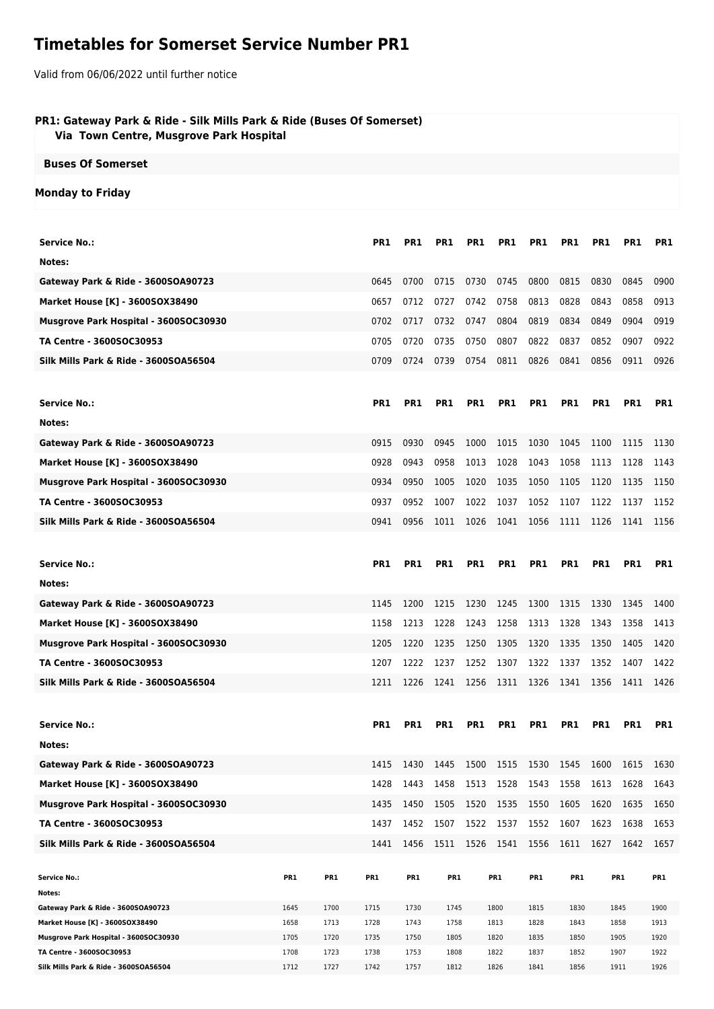# **Timetables for Somerset Service Number PR1**

Valid from 06/06/2022 until further notice

## **PR1: Gateway Park & Ride - Silk Mills Park & Ride (Buses Of Somerset) Via Town Centre, Musgrove Park Hospital**

#### **Buses Of Somerset**

### **Monday to Friday**

| <b>Service No.:</b>                                                   |              |              | PR1             | PR1          | PR1                                               | PR1        | PR1             | PR1          | PR <sub>1</sub> | PR <sub>1</sub> | PR1             | PR1          |
|-----------------------------------------------------------------------|--------------|--------------|-----------------|--------------|---------------------------------------------------|------------|-----------------|--------------|-----------------|-----------------|-----------------|--------------|
| Notes:                                                                |              |              |                 |              |                                                   |            |                 |              |                 |                 |                 |              |
| Gateway Park & Ride - 3600SOA90723                                    |              |              | 0645            | 0700         | 0715                                              | 0730       | 0745            | 0800         | 0815            | 0830            | 0845            | 0900         |
| <b>Market House [K] - 3600SOX38490</b>                                |              |              | 0657            | 0712         | 0727                                              | 0742       | 0758            | 0813         | 0828            | 0843            | 0858            | 0913         |
| Musgrove Park Hospital - 3600SOC30930                                 |              |              | 0702            | 0717         | 0732                                              | 0747       | 0804            | 0819         | 0834            | 0849            | 0904            | 0919         |
| TA Centre - 3600SOC30953                                              |              |              | 0705            | 0720         | 0735                                              | 0750       | 0807            | 0822         | 0837            | 0852            | 0907            | 0922         |
| Silk Mills Park & Ride - 3600SOA56504                                 |              |              | 0709            | 0724         | 0739                                              | 0754       | 0811            | 0826         | 0841            | 0856            | 0911            | 0926         |
|                                                                       |              |              |                 |              |                                                   |            |                 |              |                 |                 |                 |              |
| <b>Service No.:</b>                                                   |              |              | PR <sub>1</sub> | <b>PR1</b>   | <b>PR1</b>                                        | <b>PR1</b> | PR <sub>1</sub> | <b>PR1</b>   | <b>PR1</b>      | <b>PR1</b>      | PR1             | PR1          |
| Notes:                                                                |              |              |                 |              |                                                   |            |                 |              |                 |                 |                 |              |
| Gateway Park & Ride - 3600SOA90723                                    |              |              | 0915            | 0930         | 0945                                              | 1000       | 1015            | 1030         | 1045            | 1100            | 1115            | 1130         |
| Market House [K] - 3600SOX38490                                       |              |              | 0928            | 0943         | 0958                                              | 1013       | 1028            | 1043         | 1058            | 1113            | 1128            | 1143         |
| Musgrove Park Hospital - 3600SOC30930                                 |              |              | 0934            | 0950         | 1005                                              | 1020       | 1035            | 1050         | 1105            | 1120            | 1135            | 1150         |
| TA Centre - 3600SOC30953                                              |              |              |                 |              |                                                   |            |                 |              |                 |                 |                 |              |
|                                                                       |              |              | 0937            | 0952         | 1007                                              | 1022       | 1037            | 1052         | 1107            | 1122            | 1137            | 1152         |
| Silk Mills Park & Ride - 3600SOA56504                                 |              |              | 0941            | 0956         | 1011                                              | 1026       | 1041 1056       |              | 1111            | 1126            | 1141            | 1156         |
|                                                                       |              |              |                 |              |                                                   |            |                 |              |                 |                 |                 |              |
| <b>Service No.:</b>                                                   |              |              | PR <sub>1</sub> | PR1          | PR1                                               | PR1        | PR1             | PR1          | PR1             | PR <sub>1</sub> | PR1             | PR1          |
| Notes:                                                                |              |              |                 |              |                                                   |            |                 |              |                 |                 |                 |              |
| Gateway Park & Ride - 3600SOA90723                                    |              |              | 1145            | 1200         | 1215                                              | 1230       | 1245            | 1300         | 1315            | 1330            | 1345            | 1400         |
| <b>Market House [K] - 3600SOX38490</b>                                |              |              | 1158            | 1213         | 1228                                              | 1243       | 1258            | 1313         | 1328            | 1343            | 1358            | 1413         |
| Musgrove Park Hospital - 3600SOC30930                                 |              |              | 1205            | 1220         | 1235                                              | 1250       | 1305            | 1320         | 1335            | 1350            | 1405            | 1420         |
| TA Centre - 3600SOC30953                                              |              |              | 1207            | 1222         | 1237                                              | 1252       | 1307            | 1322         | 1337            | 1352            | 1407            | 1422         |
| Silk Mills Park & Ride - 3600SOA56504                                 |              |              | 1211            | 1226         | 1241 1256                                         |            | 1311 1326       |              | 1341            | 1356            | 1411            | 1426         |
|                                                                       |              |              |                 |              |                                                   |            |                 |              |                 |                 |                 |              |
| <b>Service No.:</b>                                                   |              |              | PR1             | PR1          | PR <sub>1</sub>                                   | PR1        | <b>PR1</b>      | <b>PR1</b>   | PR1             | PR <sub>1</sub> | PR <sub>1</sub> | PR1          |
| Notes:                                                                |              |              |                 |              |                                                   |            |                 |              |                 |                 |                 |              |
| Gateway Park & Ride - 3600SOA90723                                    |              |              |                 |              | 1415 1430 1445 1500 1515 1530 1545 1600 1615 1630 |            |                 |              |                 |                 |                 |              |
| <b>Market House [K] - 3600SOX38490</b>                                |              |              | 1428            | 1443         | 1458                                              | 1513       | 1528            | 1543         | 1558            | 1613            | 1628            | 1643         |
| Musgrove Park Hospital - 3600SOC30930                                 |              |              | 1435            | 1450         | 1505                                              | 1520       | 1535 1550       |              | 1605            | 1620            | 1635            | 1650         |
| TA Centre - 3600SOC30953                                              |              |              | 1437            | 1452         | 1507                                              | 1522       | 1537            | 1552         | 1607            | 1623            | 1638            | 1653         |
| Silk Mills Park & Ride - 3600SOA56504                                 |              |              | 1441            | 1456         | 1511                                              | 1526       | 1541 1556       |              | 1611            | 1627            | 1642            | 1657         |
|                                                                       |              |              |                 |              |                                                   |            |                 |              |                 |                 |                 |              |
| <b>Service No.:</b>                                                   | PR1          | PR1          | PR1             | PR1          | PR1                                               |            | PR1             | PR1          | PR1             |                 | PR <sub>1</sub> | PR1          |
| Notes:                                                                |              |              |                 |              |                                                   |            |                 |              |                 |                 |                 |              |
| Gateway Park & Ride - 3600SOA90723<br>Market House [K] - 3600SOX38490 | 1645<br>1658 | 1700<br>1713 | 1715<br>1728    | 1730<br>1743 | 1745<br>1758                                      |            | 1800<br>1813    | 1815<br>1828 | 1830<br>1843    |                 | 1845<br>1858    | 1900<br>1913 |
| Musgrove Park Hospital - 3600SOC30930                                 | 1705         | 1720         | 1735            | 1750         | 1805                                              |            | 1820            | 1835         | 1850            |                 | 1905            | 1920         |
| TA Centre - 3600SOC30953                                              | 1708         | 1723         | 1738            | 1753         | 1808                                              |            | 1822            | 1837         | 1852            |                 | 1907            | 1922         |
| Silk Mills Park & Ride - 3600SOA56504                                 | 1712         | 1727         | 1742            | 1757         | 1812                                              |            | 1826            | 1841         | 1856            |                 | 1911            | 1926         |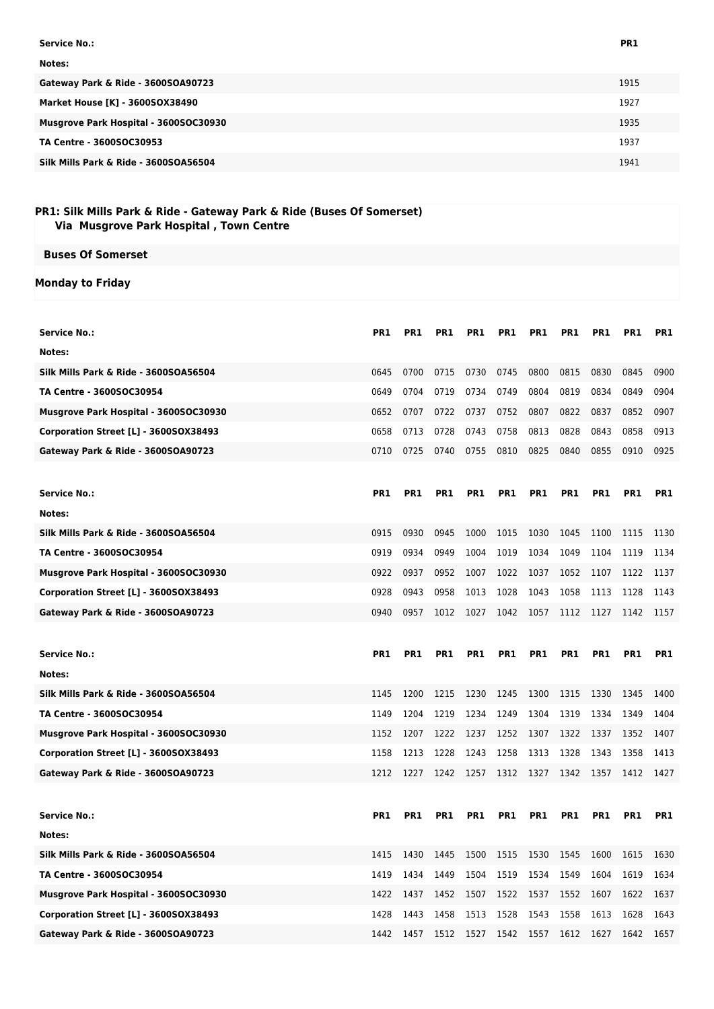| Service No.:                          | PR1  |
|---------------------------------------|------|
| Notes:                                |      |
| Gateway Park & Ride - 3600SOA90723    | 1915 |
| Market House [K] - 3600SOX38490       | 1927 |
| Musgrove Park Hospital - 3600SOC30930 | 1935 |
| TA Centre - 3600SOC30953              | 1937 |
| Silk Mills Park & Ride - 3600SOA56504 | 1941 |

# **PR1: Silk Mills Park & Ride - Gateway Park & Ride (Buses Of Somerset) Via Musgrove Park Hospital , Town Centre**

**Monday to Friday**

| <b>Service No.:</b>                   | PR <sub>1</sub> | PR1             | PR1                                               | PR1             | PR1        | PR1        | PR1             | PR1             | PR1  | PR1        |
|---------------------------------------|-----------------|-----------------|---------------------------------------------------|-----------------|------------|------------|-----------------|-----------------|------|------------|
| Notes:                                |                 |                 |                                                   |                 |            |            |                 |                 |      |            |
| Silk Mills Park & Ride - 3600SOA56504 | 0645            | 0700            | 0715                                              | 0730            | 0745       | 0800       | 0815            | 0830            | 0845 | 0900       |
| <b>TA Centre - 3600SOC30954</b>       | 0649            | 0704            | 0719                                              | 0734            | 0749       | 0804       | 0819            | 0834            | 0849 | 0904       |
| Musgrove Park Hospital - 3600SOC30930 | 0652            | 0707            | 0722                                              | 0737            | 0752       | 0807       | 0822            | 0837            | 0852 | 0907       |
| Corporation Street [L] - 3600SOX38493 | 0658            | 0713            | 0728                                              | 0743            | 0758       | 0813       | 0828            | 0843            | 0858 | 0913       |
| Gateway Park & Ride - 3600SOA90723    | 0710            | 0725            | 0740                                              | 0755            | 0810       | 0825       | 0840            | 0855            | 0910 | 0925       |
|                                       |                 |                 |                                                   |                 |            |            |                 |                 |      |            |
| <b>Service No.:</b>                   | PR <sub>1</sub> | PR1             | PR1                                               | PR1             | PR1        | PR1        | PR1             | PR <sub>1</sub> | PR1  | PR1        |
| Notes:                                |                 |                 |                                                   |                 |            |            |                 |                 |      |            |
| Silk Mills Park & Ride - 3600SOA56504 | 0915            | 0930            | 0945                                              | 1000            | 1015       | 1030       | 1045            | 1100            | 1115 | 1130       |
| <b>TA Centre - 3600SOC30954</b>       | 0919            | 0934            | 0949                                              | 1004            | 1019       | 1034       | 1049            | 1104            | 1119 | 1134       |
| Musgrove Park Hospital - 3600SOC30930 | 0922            | 0937            | 0952                                              | 1007            | 1022       | 1037       | 1052            | 1107            | 1122 | 1137       |
| Corporation Street [L] - 3600SOX38493 | 0928            | 0943            | 0958                                              | 1013            | 1028       | 1043       | 1058            | 1113            | 1128 | 1143       |
| Gateway Park & Ride - 3600SOA90723    | 0940            | 0957            | 1012                                              | 1027            | 1042       | 1057       | 1112            | 1127            | 1142 | 1157       |
|                                       |                 |                 |                                                   |                 |            |            |                 |                 |      |            |
|                                       |                 |                 |                                                   |                 |            |            |                 |                 |      |            |
| <b>Service No.:</b>                   | <b>PR1</b>      | PR <sub>1</sub> | PR1                                               | PR <sub>1</sub> | <b>PR1</b> | <b>PR1</b> | PR <sub>1</sub> | <b>PR1</b>      | PR1  | <b>PR1</b> |
| Notes:                                |                 |                 |                                                   |                 |            |            |                 |                 |      |            |
| Silk Mills Park & Ride - 3600SOA56504 | 1145            | 1200            | 1215                                              | 1230            | 1245       | 1300       | 1315            | 1330            | 1345 | 1400       |
| <b>TA Centre - 3600SOC30954</b>       | 1149            | 1204            | 1219                                              | 1234            | 1249       | 1304       | 1319            | 1334            | 1349 | 1404       |
| Musgrove Park Hospital - 3600SOC30930 | 1152            | 1207            | 1222                                              | 1237            | 1252       | 1307       | 1322            | 1337            | 1352 | 1407       |
| Corporation Street [L] - 3600SOX38493 | 1158            | 1213            | 1228                                              | 1243            | 1258       | 1313       | 1328            | 1343            | 1358 | 1413       |
| Gateway Park & Ride - 3600SOA90723    | 1212            | 1227            | 1242                                              | 1257            | 1312       | 1327       | 1342            | 1357            | 1412 | 1427       |
|                                       |                 |                 |                                                   |                 |            |            |                 |                 |      |            |
| <b>Service No.:</b>                   | PR <sub>1</sub> | PR1             | PR1                                               | PR1             | PR1        | PR1        | PR1             | PR <sub>1</sub> | PR1  | PR1        |
| Notes:                                |                 |                 |                                                   |                 |            |            |                 |                 |      |            |
| Silk Mills Park & Ride - 3600SOA56504 |                 |                 | 1415 1430 1445 1500 1515 1530 1545 1600 1615 1630 |                 |            |            |                 |                 |      |            |
| TA Centre - 3600SOC30954              | 1419            | 1434            | 1449                                              | 1504            | 1519       | 1534       | 1549            | 1604            | 1619 | 1634       |
| Musgrove Park Hospital - 3600SOC30930 | 1422            | 1437            | 1452                                              | 1507            | 1522       | 1537       | 1552            | 1607            | 1622 | 1637       |
| Corporation Street [L] - 3600SOX38493 | 1428            | 1443            | 1458                                              | 1513            | 1528       | 1543       | 1558            | 1613            | 1628 | 1643       |